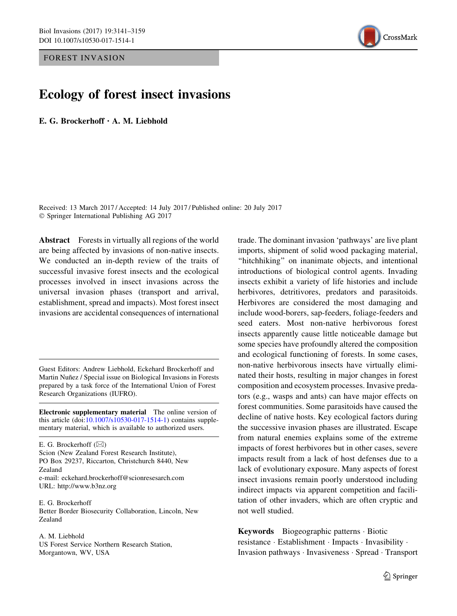FOREST INVASION



# Ecology of forest insect invasions

E. G. Brockerhoff · A. M. Liebhold

Received: 13 March 2017 / Accepted: 14 July 2017 / Published online: 20 July 2017 - Springer International Publishing AG 2017

Abstract Forests in virtually all regions of the world are being affected by invasions of non-native insects. We conducted an in-depth review of the traits of successful invasive forest insects and the ecological processes involved in insect invasions across the universal invasion phases (transport and arrival, establishment, spread and impacts). Most forest insect invasions are accidental consequences of international

Guest Editors: Andrew Liebhold, Eckehard Brockerhoff and Martin Nuñez / Special issue on Biological Invasions in Forests prepared by a task force of the International Union of Forest Research Organizations (IUFRO).

Electronic supplementary material The online version of this article (doi:10.1007/s10530-017-1514-1) contains supplementary material, which is available to authorized users.

E. G. Brockerhoff  $(\boxtimes)$ Scion (New Zealand Forest Research Institute), PO Box 29237, Riccarton, Christchurch 8440, New Zealand e-mail: eckehard.brockerhoff@scionresesarch.com URL: http://www.b3nz.org

E. G. Brockerhoff Better Border Biosecurity Collaboration, Lincoln, New Zealand

A. M. Liebhold US Forest Service Northern Research Station, Morgantown, WV, USA

trade. The dominant invasion 'pathways' are live plant imports, shipment of solid wood packaging material, "hitchhiking" on inanimate objects, and intentional introductions of biological control agents. Invading insects exhibit a variety of life histories and include herbivores, detritivores, predators and parasitoids. Herbivores are considered the most damaging and include wood-borers, sap-feeders, foliage-feeders and seed eaters. Most non-native herbivorous forest insects apparently cause little noticeable damage but some species have profoundly altered the composition and ecological functioning of forests. In some cases, non-native herbivorous insects have virtually eliminated their hosts, resulting in major changes in forest composition and ecosystem processes. Invasive predators (e.g., wasps and ants) can have major effects on forest communities. Some parasitoids have caused the decline of native hosts. Key ecological factors during the successive invasion phases are illustrated. Escape from natural enemies explains some of the extreme impacts of forest herbivores but in other cases, severe impacts result from a lack of host defenses due to a lack of evolutionary exposure. Many aspects of forest insect invasions remain poorly understood including indirect impacts via apparent competition and facilitation of other invaders, which are often cryptic and not well studied.

Keywords Biogeographic patterns - Biotic resistance - Establishment - Impacts - Invasibility - Invasion pathways - Invasiveness - Spread - Transport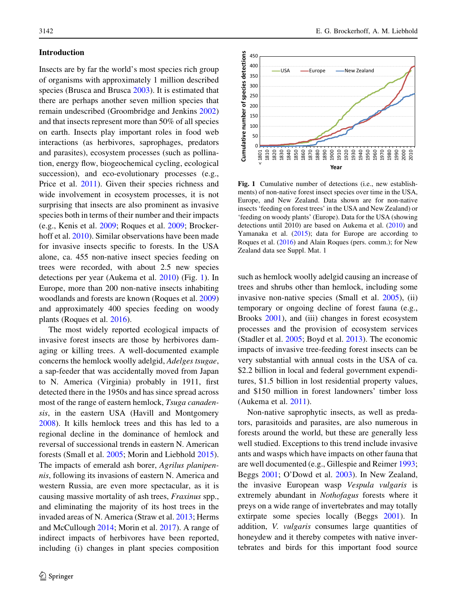# <span id="page-1-0"></span>Introduction

Insects are by far the world's most species rich group of organisms with approximately 1 million described species (Brusca and Brusca [2003](#page-15-0)). It is estimated that there are perhaps another seven million species that remain undescribed (Groombridge and Jenkins [2002\)](#page-16-0) and that insects represent more than 50% of all species on earth. Insects play important roles in food web interactions (as herbivores, saprophages, predators and parasites), ecosystem processes (such as pollination, energy flow, biogeochemical cycling, ecological succession), and eco-evolutionary processes (e.g., Price et al. [2011\)](#page-17-0). Given their species richness and wide involvement in ecosystem processes, it is not surprising that insects are also prominent as invasive species both in terms of their number and their impacts (e.g., Kenis et al. [2009](#page-16-0); Roques et al. [2009;](#page-18-0) Brockerhoff et al. [2010\)](#page-15-0). Similar observations have been made for invasive insects specific to forests. In the USA alone, ca. 455 non-native insect species feeding on trees were recorded, with about 2.5 new species detections per year (Aukema et al. [2010\)](#page-15-0) (Fig. 1). In Europe, more than 200 non-native insects inhabiting woodlands and forests are known (Roques et al. [2009\)](#page-18-0) and approximately 400 species feeding on woody plants (Roques et al. [2016](#page-18-0)).

The most widely reported ecological impacts of invasive forest insects are those by herbivores damaging or killing trees. A well-documented example concerns the hemlock woolly adelgid, Adelges tsugae, a sap-feeder that was accidentally moved from Japan to N. America (Virginia) probably in 1911, first detected there in the 1950s and has since spread across most of the range of eastern hemlock, Tsuga canadensis, in the eastern USA (Havill and Montgomery [2008\)](#page-16-0). It kills hemlock trees and this has led to a regional decline in the dominance of hemlock and reversal of successional trends in eastern N. American forests (Small et al. [2005;](#page-18-0) Morin and Liebhold [2015](#page-17-0)). The impacts of emerald ash borer, Agrilus planipennis, following its invasions of eastern N. America and western Russia, are even more spectacular, as it is causing massive mortality of ash trees, Fraxinus spp., and eliminating the majority of its host trees in the invaded areas of N. America (Straw et al. [2013;](#page-18-0) Herms and McCullough [2014;](#page-16-0) Morin et al. [2017](#page-17-0)). A range of indirect impacts of herbivores have been reported, including (i) changes in plant species composition



Fig. 1 Cumulative number of detections (i.e., new establishments) of non-native forest insect species over time in the USA, Europe, and New Zealand. Data shown are for non-native insects 'feeding on forest trees' in the USA and New Zealand) or 'feeding on woody plants' (Europe). Data for the USA (showing detections until 2010) are based on Aukema et al. [\(2010](#page-15-0)) and Yamanaka et al. ([2015\)](#page-18-0); data for Europe are according to Roques et al. [\(2016](#page-18-0)) and Alain Roques (pers. comm.); for New Zealand data see Suppl. Mat. 1

such as hemlock woolly adelgid causing an increase of trees and shrubs other than hemlock, including some invasive non-native species (Small et al. [2005](#page-18-0)), (ii) temporary or ongoing decline of forest fauna (e.g., Brooks [2001](#page-15-0)), and (iii) changes in forest ecosystem processes and the provision of ecosystem services (Stadler et al. [2005;](#page-18-0) Boyd et al. [2013](#page-15-0)). The economic impacts of invasive tree-feeding forest insects can be very substantial with annual costs in the USA of ca. \$2.2 billion in local and federal government expenditures, \$1.5 billion in lost residential property values, and \$150 million in forest landowners' timber loss (Aukema et al. [2011](#page-15-0)).

Non-native saprophytic insects, as well as predators, parasitoids and parasites, are also numerous in forests around the world, but these are generally less well studied. Exceptions to this trend include invasive ants and wasps which have impacts on other fauna that are well documented (e.g., Gillespie and Reimer [1993](#page-16-0); Beggs [2001](#page-15-0); O'Dowd et al. [2003](#page-17-0)). In New Zealand, the invasive European wasp Vespula vulgaris is extremely abundant in Nothofagus forests where it preys on a wide range of invertebrates and may totally extirpate some species locally (Beggs [2001](#page-15-0)). In addition, V. vulgaris consumes large quantities of honeydew and it thereby competes with native invertebrates and birds for this important food source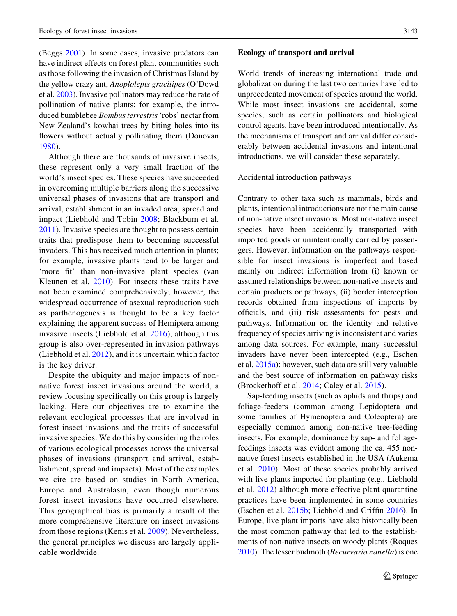(Beggs [2001](#page-15-0)). In some cases, invasive predators can have indirect effects on forest plant communities such as those following the invasion of Christmas Island by the yellow crazy ant, Anoplolepis gracilipes (O'Dowd et al. [2003](#page-17-0)). Invasive pollinators may reduce the rate of pollination of native plants; for example, the introduced bumblebee Bombus terrestris'robs' nectar from New Zealand's kowhai trees by biting holes into its flowers without actually pollinating them (Donovan [1980\)](#page-15-0).

Although there are thousands of invasive insects, these represent only a very small fraction of the world's insect species. These species have succeeded in overcoming multiple barriers along the successive universal phases of invasions that are transport and arrival, establishment in an invaded area, spread and impact (Liebhold and Tobin [2008;](#page-17-0) Blackburn et al. [2011](#page-15-0)). Invasive species are thought to possess certain traits that predispose them to becoming successful invaders. This has received much attention in plants; for example, invasive plants tend to be larger and 'more fit' than non-invasive plant species (van Kleunen et al. [2010\)](#page-18-0). For insects these traits have not been examined comprehensively; however, the widespread occurrence of asexual reproduction such as parthenogenesis is thought to be a key factor explaining the apparent success of Hemiptera among invasive insects (Liebhold et al. [2016](#page-17-0)), although this group is also over-represented in invasion pathways (Liebhold et al. [2012\)](#page-17-0), and it is uncertain which factor is the key driver.

Despite the ubiquity and major impacts of nonnative forest insect invasions around the world, a review focusing specifically on this group is largely lacking. Here our objectives are to examine the relevant ecological processes that are involved in forest insect invasions and the traits of successful invasive species. We do this by considering the roles of various ecological processes across the universal phases of invasions (transport and arrival, establishment, spread and impacts). Most of the examples we cite are based on studies in North America, Europe and Australasia, even though numerous forest insect invasions have occurred elsewhere. This geographical bias is primarily a result of the more comprehensive literature on insect invasions from those regions (Kenis et al. [2009\)](#page-16-0). Nevertheless, the general principles we discuss are largely applicable worldwide.

## Ecology of transport and arrival

World trends of increasing international trade and globalization during the last two centuries have led to unprecedented movement of species around the world. While most insect invasions are accidental, some species, such as certain pollinators and biological control agents, have been introduced intentionally. As the mechanisms of transport and arrival differ considerably between accidental invasions and intentional introductions, we will consider these separately.

## Accidental introduction pathways

Contrary to other taxa such as mammals, birds and plants, intentional introductions are not the main cause of non-native insect invasions. Most non-native insect species have been accidentally transported with imported goods or unintentionally carried by passengers. However, information on the pathways responsible for insect invasions is imperfect and based mainly on indirect information from (i) known or assumed relationships between non-native insects and certain products or pathways, (ii) border interception records obtained from inspections of imports by officials, and (iii) risk assessments for pests and pathways. Information on the identity and relative frequency of species arriving is inconsistent and varies among data sources. For example, many successful invaders have never been intercepted (e.g., Eschen et al. [2015a](#page-15-0)); however, such data are still very valuable and the best source of information on pathway risks (Brockerhoff et al. [2014](#page-15-0); Caley et al. [2015\)](#page-15-0).

Sap-feeding insects (such as aphids and thrips) and foliage-feeders (common among Lepidoptera and some families of Hymenoptera and Coleoptera) are especially common among non-native tree-feeding insects. For example, dominance by sap- and foliagefeedings insects was evident among the ca. 455 nonnative forest insects established in the USA (Aukema et al. [2010](#page-15-0)). Most of these species probably arrived with live plants imported for planting (e.g., Liebhold et al. [2012](#page-17-0)) although more effective plant quarantine practices have been implemented in some countries (Eschen et al. [2015b](#page-15-0); Liebhold and Griffin [2016\)](#page-17-0). In Europe, live plant imports have also historically been the most common pathway that led to the establishments of non-native insects on woody plants (Roques [2010\)](#page-18-0). The lesser budmoth (Recurvaria nanella) is one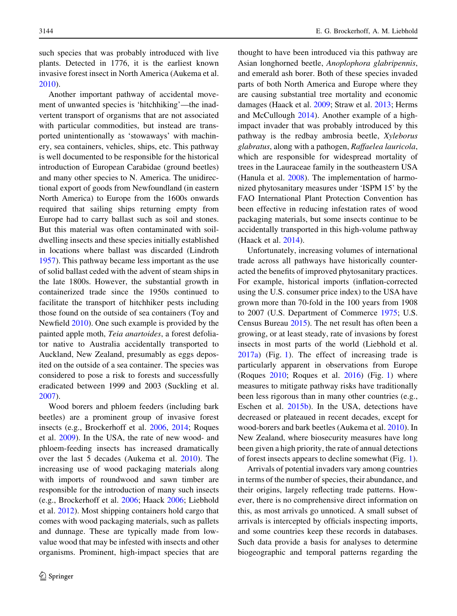such species that was probably introduced with live plants. Detected in 1776, it is the earliest known invasive forest insect in North America (Aukema et al. [2010\)](#page-15-0).

Another important pathway of accidental movement of unwanted species is 'hitchhiking'—the inadvertent transport of organisms that are not associated with particular commodities, but instead are transported unintentionally as 'stowaways' with machinery, sea containers, vehicles, ships, etc. This pathway is well documented to be responsible for the historical introduction of European Carabidae (ground beetles) and many other species to N. America. The unidirectional export of goods from Newfoundland (in eastern North America) to Europe from the 1600s onwards required that sailing ships returning empty from Europe had to carry ballast such as soil and stones. But this material was often contaminated with soildwelling insects and these species initially established in locations where ballast was discarded (Lindroth [1957\)](#page-17-0). This pathway became less important as the use of solid ballast ceded with the advent of steam ships in the late 1800s. However, the substantial growth in containerized trade since the 1950s continued to facilitate the transport of hitchhiker pests including those found on the outside of sea containers (Toy and Newfield [2010\)](#page-18-0). One such example is provided by the painted apple moth, Teia anartoides, a forest defoliator native to Australia accidentally transported to Auckland, New Zealand, presumably as eggs deposited on the outside of a sea container. The species was considered to pose a risk to forests and successfully eradicated between 1999 and 2003 (Suckling et al. [2007\)](#page-18-0).

Wood borers and phloem feeders (including bark beetles) are a prominent group of invasive forest insects (e.g., Brockerhoff et al. [2006](#page-15-0), [2014;](#page-15-0) Roques et al. [2009\)](#page-18-0). In the USA, the rate of new wood- and phloem-feeding insects has increased dramatically over the last 5 decades (Aukema et al. [2010](#page-15-0)). The increasing use of wood packaging materials along with imports of roundwood and sawn timber are responsible for the introduction of many such insects (e.g., Brockerhoff et al. [2006](#page-15-0); Haack [2006](#page-16-0); Liebhold et al. [2012](#page-17-0)). Most shipping containers hold cargo that comes with wood packaging materials, such as pallets and dunnage. These are typically made from lowvalue wood that may be infested with insects and other organisms. Prominent, high-impact species that are thought to have been introduced via this pathway are Asian longhorned beetle, Anoplophora glabripennis, and emerald ash borer. Both of these species invaded parts of both North America and Europe where they are causing substantial tree mortality and economic damages (Haack et al. [2009;](#page-16-0) Straw et al. [2013](#page-18-0); Herms and McCullough [2014\)](#page-16-0). Another example of a highimpact invader that was probably introduced by this pathway is the redbay ambrosia beetle, Xyleborus glabratus, along with a pathogen, Raffaelea lauricola, which are responsible for widespread mortality of trees in the Lauraceae family in the southeastern USA (Hanula et al. [2008\)](#page-16-0). The implementation of harmonized phytosanitary measures under 'ISPM 15' by the FAO International Plant Protection Convention has been effective in reducing infestation rates of wood packaging materials, but some insects continue to be accidentally transported in this high-volume pathway (Haack et al. [2014](#page-16-0)).

Unfortunately, increasing volumes of international trade across all pathways have historically counteracted the benefits of improved phytosanitary practices. For example, historical imports (inflation-corrected using the U.S. consumer price index) to the USA have grown more than 70-fold in the 100 years from 1908 to 2007 (U.S. Department of Commerce [1975](#page-18-0); U.S. Census Bureau [2015\)](#page-18-0). The net result has often been a growing, or at least steady, rate of invasions by forest insects in most parts of the world (Liebhold et al. [2017a](#page-17-0)) (Fig. [1\)](#page-1-0). The effect of increasing trade is particularly apparent in observations from Europe (Roques [2010;](#page-18-0) Roques et al. [2016](#page-18-0)) (Fig. [1\)](#page-1-0) where measures to mitigate pathway risks have traditionally been less rigorous than in many other countries (e.g., Eschen et al. [2015b](#page-15-0)). In the USA, detections have decreased or plateaued in recent decades, except for wood-borers and bark beetles (Aukema et al. [2010](#page-15-0)). In New Zealand, where biosecurity measures have long been given a high priority, the rate of annual detections of forest insects appears to decline somewhat (Fig. [1](#page-1-0)).

Arrivals of potential invaders vary among countries in terms of the number of species, their abundance, and their origins, largely reflecting trade patterns. However, there is no comprehensive direct information on this, as most arrivals go unnoticed. A small subset of arrivals is intercepted by officials inspecting imports, and some countries keep these records in databases. Such data provide a basis for analyses to determine biogeographic and temporal patterns regarding the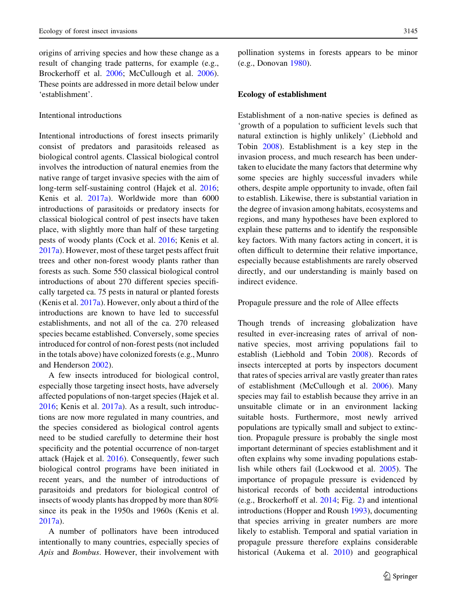origins of arriving species and how these change as a result of changing trade patterns, for example (e.g., Brockerhoff et al. [2006;](#page-15-0) McCullough et al. [2006](#page-17-0)). These points are addressed in more detail below under 'establishment'.

# Intentional introductions

Intentional introductions of forest insects primarily consist of predators and parasitoids released as biological control agents. Classical biological control involves the introduction of natural enemies from the native range of target invasive species with the aim of long-term self-sustaining control (Hajek et al. [2016](#page-16-0); Kenis et al. [2017a\)](#page-16-0). Worldwide more than 6000 introductions of parasitoids or predatory insects for classical biological control of pest insects have taken place, with slightly more than half of these targeting pests of woody plants (Cock et al. [2016;](#page-15-0) Kenis et al. [2017a](#page-16-0)). However, most of these target pests affect fruit trees and other non-forest woody plants rather than forests as such. Some 550 classical biological control introductions of about 270 different species specifically targeted ca. 75 pests in natural or planted forests (Kenis et al. [2017a](#page-16-0)). However, only about a third of the introductions are known to have led to successful establishments, and not all of the ca. 270 released species became established. Conversely, some species introduced for control of non-forest pests (not included in the totals above) have colonized forests (e.g., Munro and Henderson [2002\)](#page-17-0).

A few insects introduced for biological control, especially those targeting insect hosts, have adversely affected populations of non-target species (Hajek et al. [2016;](#page-16-0) Kenis et al. [2017a](#page-16-0)). As a result, such introductions are now more regulated in many countries, and the species considered as biological control agents need to be studied carefully to determine their host specificity and the potential occurrence of non-target attack (Hajek et al. [2016](#page-16-0)). Consequently, fewer such biological control programs have been initiated in recent years, and the number of introductions of parasitoids and predators for biological control of insects of woody plants has dropped by more than 80% since its peak in the 1950s and 1960s (Kenis et al. [2017a](#page-16-0)).

A number of pollinators have been introduced intentionally to many countries, especially species of Apis and Bombus. However, their involvement with

pollination systems in forests appears to be minor (e.g., Donovan [1980](#page-15-0)).

#### Ecology of establishment

Establishment of a non-native species is defined as 'growth of a population to sufficient levels such that natural extinction is highly unlikely' (Liebhold and Tobin [2008\)](#page-17-0). Establishment is a key step in the invasion process, and much research has been undertaken to elucidate the many factors that determine why some species are highly successful invaders while others, despite ample opportunity to invade, often fail to establish. Likewise, there is substantial variation in the degree of invasion among habitats, ecosystems and regions, and many hypotheses have been explored to explain these patterns and to identify the responsible key factors. With many factors acting in concert, it is often difficult to determine their relative importance, especially because establishments are rarely observed directly, and our understanding is mainly based on indirect evidence.

## Propagule pressure and the role of Allee effects

Though trends of increasing globalization have resulted in ever-increasing rates of arrival of nonnative species, most arriving populations fail to establish (Liebhold and Tobin [2008\)](#page-17-0). Records of insects intercepted at ports by inspectors document that rates of species arrival are vastly greater than rates of establishment (McCullough et al. [2006\)](#page-17-0). Many species may fail to establish because they arrive in an unsuitable climate or in an environment lacking suitable hosts. Furthermore, most newly arrived populations are typically small and subject to extinction. Propagule pressure is probably the single most important determinant of species establishment and it often explains why some invading populations establish while others fail (Lockwood et al. [2005](#page-17-0)). The importance of propagule pressure is evidenced by historical records of both accidental introductions (e.g., Brockerhoff et al. [2014](#page-15-0); Fig. [2](#page-5-0)) and intentional introductions (Hopper and Roush [1993\)](#page-16-0), documenting that species arriving in greater numbers are more likely to establish. Temporal and spatial variation in propagule pressure therefore explains considerable historical (Aukema et al. [2010](#page-15-0)) and geographical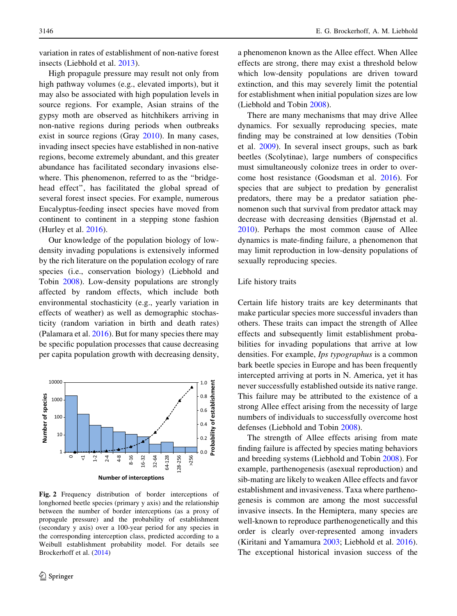<span id="page-5-0"></span>variation in rates of establishment of non-native forest insects (Liebhold et al. [2013\)](#page-17-0).

High propagule pressure may result not only from high pathway volumes (e.g., elevated imports), but it may also be associated with high population levels in source regions. For example, Asian strains of the gypsy moth are observed as hitchhikers arriving in non-native regions during periods when outbreaks exist in source regions (Gray [2010\)](#page-16-0). In many cases, invading insect species have established in non-native regions, become extremely abundant, and this greater abundance has facilitated secondary invasions elsewhere. This phenomenon, referred to as the ''bridgehead effect'', has facilitated the global spread of several forest insect species. For example, numerous Eucalyptus-feeding insect species have moved from continent to continent in a stepping stone fashion (Hurley et al. [2016](#page-16-0)).

Our knowledge of the population biology of lowdensity invading populations is extensively informed by the rich literature on the population ecology of rare species (i.e., conservation biology) (Liebhold and Tobin [2008](#page-17-0)). Low-density populations are strongly affected by random effects, which include both environmental stochasticity (e.g., yearly variation in effects of weather) as well as demographic stochasticity (random variation in birth and death rates) (Palamara et al. [2016](#page-17-0)). But for many species there may be specific population processes that cause decreasing per capita population growth with decreasing density,



Fig. 2 Frequency distribution of border interceptions of longhorned beetle species (primary y axis) and the relationship between the number of border interceptions (as a proxy of propagule pressure) and the probability of establishment (secondary y axis) over a 100-year period for any species in the corresponding interception class, predicted according to a Weibull establishment probability model. For details see Brockerhoff et al. ([2014\)](#page-15-0)

a phenomenon known as the Allee effect. When Allee effects are strong, there may exist a threshold below which low-density populations are driven toward extinction, and this may severely limit the potential for establishment when initial population sizes are low (Liebhold and Tobin [2008](#page-17-0)).

There are many mechanisms that may drive Allee dynamics. For sexually reproducing species, mate finding may be constrained at low densities (Tobin et al. [2009](#page-18-0)). In several insect groups, such as bark beetles (Scolytinae), large numbers of conspecifics must simultaneously colonize trees in order to overcome host resistance (Goodsman et al. [2016\)](#page-16-0). For species that are subject to predation by generalist predators, there may be a predator satiation phenomenon such that survival from predator attack may decrease with decreasing densities (Bjørnstad et al. [2010\)](#page-15-0). Perhaps the most common cause of Allee dynamics is mate-finding failure, a phenomenon that may limit reproduction in low-density populations of sexually reproducing species.

## Life history traits

Certain life history traits are key determinants that make particular species more successful invaders than others. These traits can impact the strength of Allee effects and subsequently limit establishment probabilities for invading populations that arrive at low densities. For example, Ips typographus is a common bark beetle species in Europe and has been frequently intercepted arriving at ports in N. America, yet it has never successfully established outside its native range. This failure may be attributed to the existence of a strong Allee effect arising from the necessity of large numbers of individuals to successfully overcome host defenses (Liebhold and Tobin [2008](#page-17-0)).

The strength of Allee effects arising from mate finding failure is affected by species mating behaviors and breeding systems (Liebhold and Tobin [2008](#page-17-0)). For example, parthenogenesis (asexual reproduction) and sib-mating are likely to weaken Allee effects and favor establishment and invasiveness. Taxa where parthenogenesis is common are among the most successful invasive insects. In the Hemiptera, many species are well-known to reproduce parthenogenetically and this order is clearly over-represented among invaders (Kiritani and Yamamura [2003;](#page-16-0) Liebhold et al. [2016](#page-17-0)). The exceptional historical invasion success of the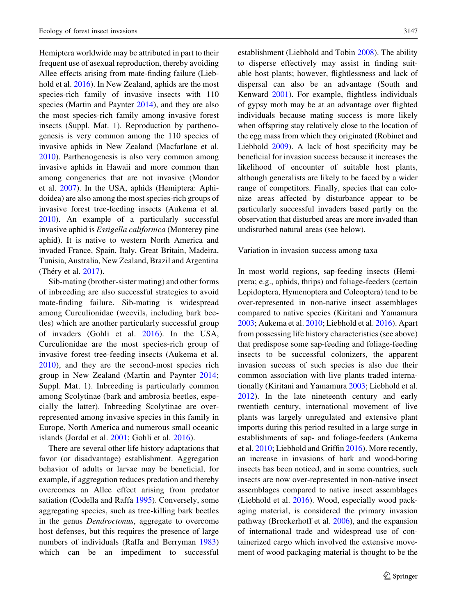Hemiptera worldwide may be attributed in part to their frequent use of asexual reproduction, thereby avoiding Allee effects arising from mate-finding failure (Liebhold et al. [2016](#page-17-0)). In New Zealand, aphids are the most species-rich family of invasive insects with 110 species (Martin and Paynter [2014\)](#page-17-0), and they are also the most species-rich family among invasive forest insects (Suppl. Mat. 1). Reproduction by parthenogenesis is very common among the 110 species of invasive aphids in New Zealand (Macfarlane et al. [2010\)](#page-17-0). Parthenogenesis is also very common among invasive aphids in Hawaii and more common than among congenerics that are not invasive (Mondor et al. [2007\)](#page-17-0). In the USA, aphids (Hemiptera: Aphidoidea) are also among the most species-rich groups of invasive forest tree-feeding insects (Aukema et al. [2010\)](#page-15-0). An example of a particularly successful invasive aphid is Essigella californica (Monterey pine aphid). It is native to western North America and invaded France, Spain, Italy, Great Britain, Madeira, Tunisia, Australia, New Zealand, Brazil and Argentina (Théry et al. [2017](#page-18-0)).

Sib-mating (brother-sister mating) and other forms of inbreeding are also successful strategies to avoid mate-finding failure. Sib-mating is widespread among Curculionidae (weevils, including bark beetles) which are another particularly successful group of invaders (Gohli et al. [2016\)](#page-16-0). In the USA, Curculionidae are the most species-rich group of invasive forest tree-feeding insects (Aukema et al. [2010](#page-15-0)), and they are the second-most species rich group in New Zealand (Martin and Paynter [2014](#page-17-0); Suppl. Mat. 1). Inbreeding is particularly common among Scolytinae (bark and ambrosia beetles, especially the latter). Inbreeding Scolytinae are overrepresented among invasive species in this family in Europe, North America and numerous small oceanic islands (Jordal et al. [2001;](#page-16-0) Gohli et al. [2016](#page-16-0)).

There are several other life history adaptations that favor (or disadvantage) establishment. Aggregation behavior of adults or larvae may be beneficial, for example, if aggregation reduces predation and thereby overcomes an Allee effect arising from predator satiation (Codella and Raffa [1995](#page-15-0)). Conversely, some aggregating species, such as tree-killing bark beetles in the genus Dendroctonus, aggregate to overcome host defenses, but this requires the presence of large numbers of individuals (Raffa and Berryman [1983\)](#page-18-0) which can be an impediment to successful establishment (Liebhold and Tobin [2008](#page-17-0)). The ability to disperse effectively may assist in finding suitable host plants; however, flightlessness and lack of dispersal can also be an advantage (South and Kenward [2001\)](#page-18-0). For example, flightless individuals of gypsy moth may be at an advantage over flighted individuals because mating success is more likely when offspring stay relatively close to the location of the egg mass from which they originated (Robinet and Liebhold [2009\)](#page-18-0). A lack of host specificity may be beneficial for invasion success because it increases the likelihood of encounter of suitable host plants, although generalists are likely to be faced by a wider range of competitors. Finally, species that can colonize areas affected by disturbance appear to be particularly successful invaders based partly on the observation that disturbed areas are more invaded than undisturbed natural areas (see below).

#### Variation in invasion success among taxa

In most world regions, sap-feeding insects (Hemiptera; e.g., aphids, thrips) and foliage-feeders (certain Lepidoptera, Hymenoptera and Coleoptera) tend to be over-represented in non-native insect assemblages compared to native species (Kiritani and Yamamura [2003;](#page-16-0) Aukema et al. [2010](#page-15-0); Liebhold et al. [2016\)](#page-17-0). Apart from possessing life history characteristics (see above) that predispose some sap-feeding and foliage-feeding insects to be successful colonizers, the apparent invasion success of such species is also due their common association with live plants traded internationally (Kiritani and Yamamura [2003;](#page-16-0) Liebhold et al. [2012\)](#page-17-0). In the late nineteenth century and early twentieth century, international movement of live plants was largely unregulated and extensive plant imports during this period resulted in a large surge in establishments of sap- and foliage-feeders (Aukema et al. [2010;](#page-15-0) Liebhold and Griffin [2016](#page-17-0)). More recently, an increase in invasions of bark and wood-boring insects has been noticed, and in some countries, such insects are now over-represented in non-native insect assemblages compared to native insect assemblages (Liebhold et al. [2016\)](#page-17-0). Wood, especially wood packaging material, is considered the primary invasion pathway (Brockerhoff et al. [2006\)](#page-15-0), and the expansion of international trade and widespread use of containerized cargo which involved the extensive movement of wood packaging material is thought to be the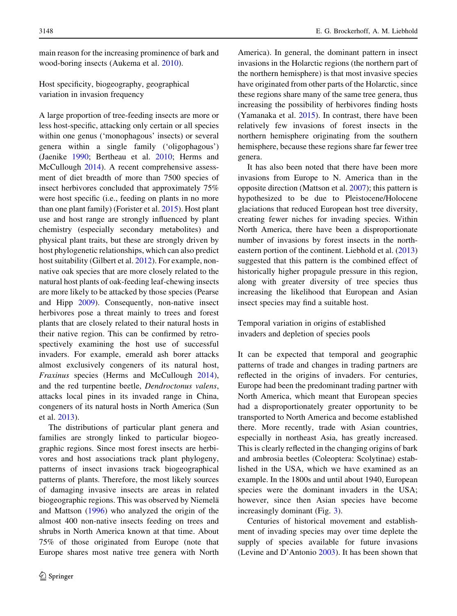main reason for the increasing prominence of bark and wood-boring insects (Aukema et al. [2010\)](#page-15-0).

Host specificity, biogeography, geographical variation in invasion frequency

A large proportion of tree-feeding insects are more or less host-specific, attacking only certain or all species within one genus ('monophagous' insects) or several genera within a single family ('oligophagous') (Jaenike [1990](#page-16-0); Bertheau et al. [2010](#page-15-0); Herms and McCullough [2014](#page-16-0)). A recent comprehensive assessment of diet breadth of more than 7500 species of insect herbivores concluded that approximately 75% were host specific (i.e., feeding on plants in no more than one plant family) (Forister et al. [2015\)](#page-15-0). Host plant use and host range are strongly influenced by plant chemistry (especially secondary metabolites) and physical plant traits, but these are strongly driven by host phylogenetic relationships, which can also predict host suitability (Gilbert et al. [2012\)](#page-16-0). For example, nonnative oak species that are more closely related to the natural host plants of oak-feeding leaf-chewing insects are more likely to be attacked by those species (Pearse and Hipp [2009\)](#page-17-0). Consequently, non-native insect herbivores pose a threat mainly to trees and forest plants that are closely related to their natural hosts in their native region. This can be confirmed by retrospectively examining the host use of successful invaders. For example, emerald ash borer attacks almost exclusively congeners of its natural host, Fraxinus species (Herms and McCullough [2014](#page-16-0)), and the red turpentine beetle, Dendroctonus valens, attacks local pines in its invaded range in China, congeners of its natural hosts in North America (Sun et al. [2013](#page-18-0)).

The distributions of particular plant genera and families are strongly linked to particular biogeographic regions. Since most forest insects are herbivores and host associations track plant phylogeny, patterns of insect invasions track biogeographical patterns of plants. Therefore, the most likely sources of damaging invasive insects are areas in related biogeographic regions. This was observed by Niemelä and Mattson [\(1996](#page-17-0)) who analyzed the origin of the almost 400 non-native insects feeding on trees and shrubs in North America known at that time. About 75% of those originated from Europe (note that Europe shares most native tree genera with North America). In general, the dominant pattern in insect invasions in the Holarctic regions (the northern part of the northern hemisphere) is that most invasive species have originated from other parts of the Holarctic, since these regions share many of the same tree genera, thus increasing the possibility of herbivores finding hosts (Yamanaka et al. [2015\)](#page-18-0). In contrast, there have been relatively few invasions of forest insects in the northern hemisphere originating from the southern hemisphere, because these regions share far fewer tree genera.

It has also been noted that there have been more invasions from Europe to N. America than in the opposite direction (Mattson et al. [2007\)](#page-17-0); this pattern is hypothesized to be due to Pleistocene/Holocene glaciations that reduced European host tree diversity, creating fewer niches for invading species. Within North America, there have been a disproportionate number of invasions by forest insects in the north-eastern portion of the continent. Liebhold et al. ([2013\)](#page-17-0) suggested that this pattern is the combined effect of historically higher propagule pressure in this region, along with greater diversity of tree species thus increasing the likelihood that European and Asian insect species may find a suitable host.

Temporal variation in origins of established invaders and depletion of species pools

It can be expected that temporal and geographic patterns of trade and changes in trading partners are reflected in the origins of invaders. For centuries, Europe had been the predominant trading partner with North America, which meant that European species had a disproportionately greater opportunity to be transported to North America and become established there. More recently, trade with Asian countries, especially in northeast Asia, has greatly increased. This is clearly reflected in the changing origins of bark and ambrosia beetles (Coleoptera: Scolytinae) established in the USA, which we have examined as an example. In the 1800s and until about 1940, European species were the dominant invaders in the USA; however, since then Asian species have become increasingly dominant (Fig. [3\)](#page-8-0).

Centuries of historical movement and establishment of invading species may over time deplete the supply of species available for future invasions (Levine and D'Antonio [2003\)](#page-17-0). It has been shown that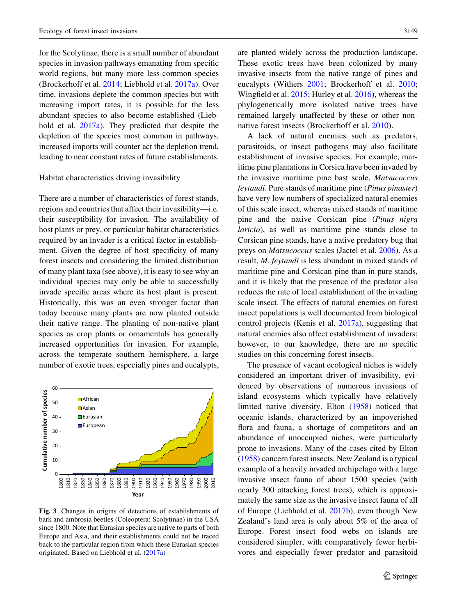<span id="page-8-0"></span>for the Scolytinae, there is a small number of abundant species in invasion pathways emanating from specific world regions, but many more less-common species (Brockerhoff et al. [2014](#page-15-0); Liebhold et al. [2017a\)](#page-17-0). Over time, invasions deplete the common species but with increasing import rates, it is possible for the less abundant species to also become established (Liebhold et al. [2017a\)](#page-17-0). They predicted that despite the depletion of the species most common in pathways, increased imports will counter act the depletion trend, leading to near constant rates of future establishments.

#### Habitat characteristics driving invasibility

There are a number of characteristics of forest stands, regions and countries that affect their invasibility—i.e. their susceptibility for invasion. The availability of host plants or prey, or particular habitat characteristics required by an invader is a critical factor in establishment. Given the degree of host specificity of many forest insects and considering the limited distribution of many plant taxa (see above), it is easy to see why an individual species may only be able to successfully invade specific areas where its host plant is present. Historically, this was an even stronger factor than today because many plants are now planted outside their native range. The planting of non-native plant species as crop plants or ornamentals has generally increased opportunities for invasion. For example, across the temperate southern hemisphere, a large number of exotic trees, especially pines and eucalypts,



Fig. 3 Changes in origins of detections of establishments of bark and ambrosia beetles (Coleoptera: Scolytinae) in the USA since 1800. Note that Eurasian species are native to parts of both Europe and Asia, and their establishments could not be traced back to the particular region from which these Eurasian species originated. Based on Liebhold et al. ([2017a\)](#page-17-0)

are planted widely across the production landscape. These exotic trees have been colonized by many invasive insects from the native range of pines and eucalypts (Withers [2001](#page-18-0); Brockerhoff et al. [2010](#page-15-0); Wingfield et al. [2015;](#page-18-0) Hurley et al. [2016](#page-16-0)), whereas the phylogenetically more isolated native trees have remained largely unaffected by these or other nonnative forest insects (Brockerhoff et al. [2010](#page-15-0)).

A lack of natural enemies such as predators, parasitoids, or insect pathogens may also facilitate establishment of invasive species. For example, maritime pine plantations in Corsica have been invaded by the invasive maritime pine bast scale, Matsucoccus feytaudi. Pure stands of maritime pine (Pinus pinaster) have very low numbers of specialized natural enemies of this scale insect, whereas mixed stands of maritime pine and the native Corsican pine (Pinus nigra laricio), as well as maritime pine stands close to Corsican pine stands, have a native predatory bug that preys on Matsucoccus scales (Jactel et al. [2006\)](#page-16-0). As a result, M. feytaudi is less abundant in mixed stands of maritime pine and Corsican pine than in pure stands, and it is likely that the presence of the predator also reduces the rate of local establishment of the invading scale insect. The effects of natural enemies on forest insect populations is well documented from biological control projects (Kenis et al. [2017a\)](#page-16-0), suggesting that natural enemies also affect establishment of invaders; however, to our knowledge, there are no specific studies on this concerning forest insects.

The presence of vacant ecological niches is widely considered an important driver of invasibility, evidenced by observations of numerous invasions of island ecosystems which typically have relatively limited native diversity. Elton ([1958\)](#page-15-0) noticed that oceanic islands, characterized by an impoverished flora and fauna, a shortage of competitors and an abundance of unoccupied niches, were particularly prone to invasions. Many of the cases cited by Elton [\(1958](#page-15-0)) concern forest insects. New Zealand is a typical example of a heavily invaded archipelago with a large invasive insect fauna of about 1500 species (with nearly 300 attacking forest trees), which is approximately the same size as the invasive insect fauna of all of Europe (Liebhold et al. [2017b](#page-17-0)), even though New Zealand's land area is only about 5% of the area of Europe. Forest insect food webs on islands are considered simpler, with comparatively fewer herbivores and especially fewer predator and parasitoid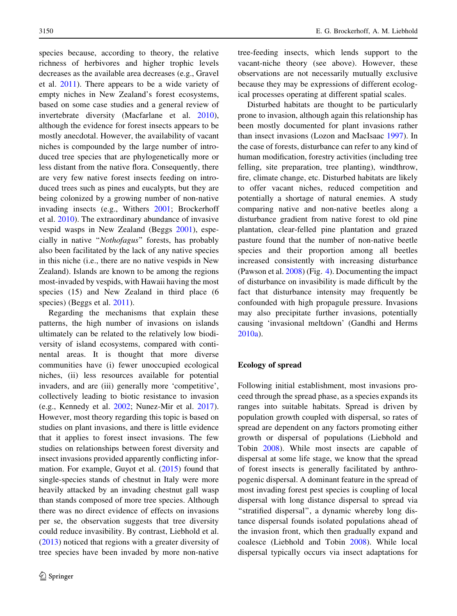species because, according to theory, the relative richness of herbivores and higher trophic levels decreases as the available area decreases (e.g., Gravel et al. [2011](#page-16-0)). There appears to be a wide variety of empty niches in New Zealand's forest ecosystems, based on some case studies and a general review of invertebrate diversity (Macfarlane et al. [2010](#page-17-0)), although the evidence for forest insects appears to be mostly anecdotal. However, the availability of vacant niches is compounded by the large number of introduced tree species that are phylogenetically more or less distant from the native flora. Consequently, there are very few native forest insects feeding on introduced trees such as pines and eucalypts, but they are being colonized by a growing number of non-native invading insects (e.g., Withers [2001;](#page-18-0) Brockerhoff et al. [2010](#page-15-0)). The extraordinary abundance of invasive vespid wasps in New Zealand (Beggs [2001\)](#page-15-0), especially in native ''Nothofagus'' forests, has probably also been facilitated by the lack of any native species in this niche (i.e., there are no native vespids in New Zealand). Islands are known to be among the regions most-invaded by vespids, with Hawaii having the most species (15) and New Zealand in third place (6 species) (Beggs et al. [2011](#page-15-0)).

Regarding the mechanisms that explain these patterns, the high number of invasions on islands ultimately can be related to the relatively low biodiversity of island ecosystems, compared with continental areas. It is thought that more diverse communities have (i) fewer unoccupied ecological niches, (ii) less resources available for potential invaders, and are (iii) generally more 'competitive', collectively leading to biotic resistance to invasion (e.g., Kennedy et al. [2002](#page-16-0); Nunez-Mir et al. [2017](#page-17-0)). However, most theory regarding this topic is based on studies on plant invasions, and there is little evidence that it applies to forest insect invasions. The few studies on relationships between forest diversity and insect invasions provided apparently conflicting information. For example, Guyot et al. ([2015\)](#page-16-0) found that single-species stands of chestnut in Italy were more heavily attacked by an invading chestnut gall wasp than stands composed of more tree species. Although there was no direct evidence of effects on invasions per se, the observation suggests that tree diversity could reduce invasibility. By contrast, Liebhold et al. [\(2013](#page-17-0)) noticed that regions with a greater diversity of tree species have been invaded by more non-native

tree-feeding insects, which lends support to the vacant-niche theory (see above). However, these observations are not necessarily mutually exclusive because they may be expressions of different ecological processes operating at different spatial scales.

Disturbed habitats are thought to be particularly prone to invasion, although again this relationship has been mostly documented for plant invasions rather than insect invasions (Lozon and MacIsaac [1997](#page-17-0)). In the case of forests, disturbance can refer to any kind of human modification, forestry activities (including tree felling, site preparation, tree planting), windthrow, fire, climate change, etc. Disturbed habitats are likely to offer vacant niches, reduced competition and potentially a shortage of natural enemies. A study comparing native and non-native beetles along a disturbance gradient from native forest to old pine plantation, clear-felled pine plantation and grazed pasture found that the number of non-native beetle species and their proportion among all beetles increased consistently with increasing disturbance (Pawson et al. [2008\)](#page-17-0) (Fig. [4\)](#page-10-0). Documenting the impact of disturbance on invasibility is made difficult by the fact that disturbance intensity may frequently be confounded with high propagule pressure. Invasions may also precipitate further invasions, potentially causing 'invasional meltdown' (Gandhi and Herms [2010a](#page-15-0)).

## Ecology of spread

Following initial establishment, most invasions proceed through the spread phase, as a species expands its ranges into suitable habitats. Spread is driven by population growth coupled with dispersal, so rates of spread are dependent on any factors promoting either growth or dispersal of populations (Liebhold and Tobin [2008\)](#page-17-0). While most insects are capable of dispersal at some life stage, we know that the spread of forest insects is generally facilitated by anthropogenic dispersal. A dominant feature in the spread of most invading forest pest species is coupling of local dispersal with long distance dispersal to spread via ''stratified dispersal'', a dynamic whereby long distance dispersal founds isolated populations ahead of the invasion front, which then gradually expand and coalesce (Liebhold and Tobin [2008](#page-17-0)). While local dispersal typically occurs via insect adaptations for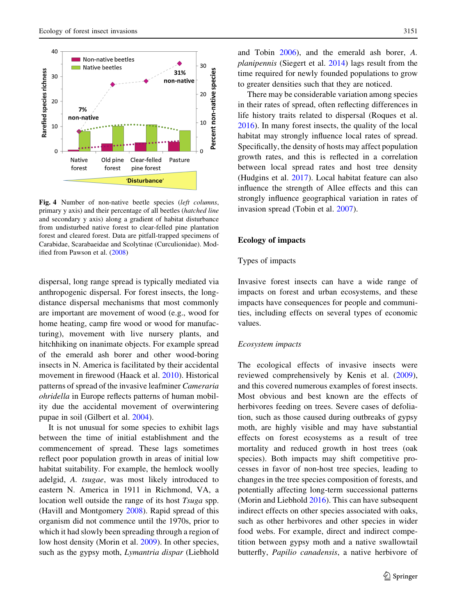<span id="page-10-0"></span>

Fig. 4 Number of non-native beetle species (left columns, primary y axis) and their percentage of all beetles (hatched line and secondary y axis) along a gradient of habitat disturbance from undisturbed native forest to clear-felled pine plantation forest and cleared forest. Data are pitfall-trapped specimens of Carabidae, Scarabaeidae and Scolytinae (Curculionidae). Modified from Pawson et al. ([2008\)](#page-17-0)

dispersal, long range spread is typically mediated via anthropogenic dispersal. For forest insects, the longdistance dispersal mechanisms that most commonly are important are movement of wood (e.g., wood for home heating, camp fire wood or wood for manufacturing), movement with live nursery plants, and hitchhiking on inanimate objects. For example spread of the emerald ash borer and other wood-boring insects in N. America is facilitated by their accidental movement in firewood (Haack et al. [2010](#page-16-0)). Historical patterns of spread of the invasive leafminer Cameraria ohridella in Europe reflects patterns of human mobility due the accidental movement of overwintering pupae in soil (Gilbert et al. [2004](#page-16-0)).

It is not unusual for some species to exhibit lags between the time of initial establishment and the commencement of spread. These lags sometimes reflect poor population growth in areas of initial low habitat suitability. For example, the hemlock woolly adelgid, A. tsugae, was most likely introduced to eastern N. America in 1911 in Richmond, VA, a location well outside the range of its host Tsuga spp. (Havill and Montgomery [2008](#page-16-0)). Rapid spread of this organism did not commence until the 1970s, prior to which it had slowly been spreading through a region of low host density (Morin et al. [2009](#page-17-0)). In other species, such as the gypsy moth, Lymantria dispar (Liebhold

and Tobin [2006\)](#page-17-0), and the emerald ash borer, A. planipennis (Siegert et al. [2014\)](#page-18-0) lags result from the time required for newly founded populations to grow to greater densities such that they are noticed.

There may be considerable variation among species in their rates of spread, often reflecting differences in life history traits related to dispersal (Roques et al. [2016\)](#page-18-0). In many forest insects, the quality of the local habitat may strongly influence local rates of spread. Specifically, the density of hosts may affect population growth rates, and this is reflected in a correlation between local spread rates and host tree density (Hudgins et al. [2017](#page-16-0)). Local habitat feature can also influence the strength of Allee effects and this can strongly influence geographical variation in rates of invasion spread (Tobin et al. [2007](#page-18-0)).

## Ecology of impacts

## Types of impacts

Invasive forest insects can have a wide range of impacts on forest and urban ecosystems, and these impacts have consequences for people and communities, including effects on several types of economic values.

## Ecosystem impacts

The ecological effects of invasive insects were reviewed comprehensively by Kenis et al. ([2009](#page-16-0)), and this covered numerous examples of forest insects. Most obvious and best known are the effects of herbivores feeding on trees. Severe cases of defoliation, such as those caused during outbreaks of gypsy moth, are highly visible and may have substantial effects on forest ecosystems as a result of tree mortality and reduced growth in host trees (oak species). Both impacts may shift competitive processes in favor of non-host tree species, leading to changes in the tree species composition of forests, and potentially affecting long-term successional patterns (Morin and Liebhold [2016\)](#page-17-0). This can have subsequent indirect effects on other species associated with oaks, such as other herbivores and other species in wider food webs. For example, direct and indirect competition between gypsy moth and a native swallowtail butterfly, Papilio canadensis, a native herbivore of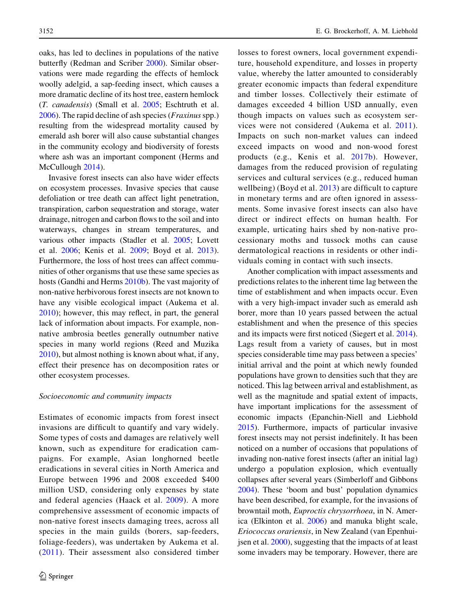oaks, has led to declines in populations of the native butterfly (Redman and Scriber [2000\)](#page-18-0). Similar observations were made regarding the effects of hemlock woolly adelgid, a sap-feeding insect, which causes a more dramatic decline of its host tree, eastern hemlock (T. canadensis) (Small et al. [2005](#page-18-0); Eschtruth et al.  $2006$ ). The rapid decline of ash species (*Fraxinus* spp.) resulting from the widespread mortality caused by emerald ash borer will also cause substantial changes in the community ecology and biodiversity of forests where ash was an important component (Herms and McCullough [2014](#page-16-0)).

Invasive forest insects can also have wider effects on ecosystem processes. Invasive species that cause defoliation or tree death can affect light penetration, transpiration, carbon sequestration and storage, water drainage, nitrogen and carbon flows to the soil and into waterways, changes in stream temperatures, and various other impacts (Stadler et al. [2005;](#page-18-0) Lovett et al. [2006](#page-17-0); Kenis et al. [2009;](#page-16-0) Boyd et al. [2013](#page-15-0)). Furthermore, the loss of host trees can affect communities of other organisms that use these same species as hosts (Gandhi and Herms [2010b](#page-16-0)). The vast majority of non-native herbivorous forest insects are not known to have any visible ecological impact (Aukema et al. [2010\)](#page-15-0); however, this may reflect, in part, the general lack of information about impacts. For example, nonnative ambrosia beetles generally outnumber native species in many world regions (Reed and Muzika [2010\)](#page-18-0), but almost nothing is known about what, if any, effect their presence has on decomposition rates or other ecosystem processes.

## Socioeconomic and community impacts

Estimates of economic impacts from forest insect invasions are difficult to quantify and vary widely. Some types of costs and damages are relatively well known, such as expenditure for eradication campaigns. For example, Asian longhorned beetle eradications in several cities in North America and Europe between 1996 and 2008 exceeded \$400 million USD, considering only expenses by state and federal agencies (Haack et al. [2009\)](#page-16-0). A more comprehensive assessment of economic impacts of non-native forest insects damaging trees, across all species in the main guilds (borers, sap-feeders, foliage-feeders), was undertaken by Aukema et al. [\(2011](#page-15-0)). Their assessment also considered timber losses to forest owners, local government expenditure, household expenditure, and losses in property value, whereby the latter amounted to considerably greater economic impacts than federal expenditure and timber losses. Collectively their estimate of damages exceeded 4 billion USD annually, even though impacts on values such as ecosystem services were not considered (Aukema et al. [2011](#page-15-0)). Impacts on such non-market values can indeed exceed impacts on wood and non-wood forest products (e.g., Kenis et al. [2017b](#page-16-0)). However, damages from the reduced provision of regulating services and cultural services (e.g., reduced human wellbeing) (Boyd et al. [2013](#page-15-0)) are difficult to capture in monetary terms and are often ignored in assessments. Some invasive forest insects can also have direct or indirect effects on human health. For example, urticating hairs shed by non-native processionary moths and tussock moths can cause dermatological reactions in residents or other individuals coming in contact with such insects.

Another complication with impact assessments and predictions relates to the inherent time lag between the time of establishment and when impacts occur. Even with a very high-impact invader such as emerald ash borer, more than 10 years passed between the actual establishment and when the presence of this species and its impacts were first noticed (Siegert et al. [2014](#page-18-0)). Lags result from a variety of causes, but in most species considerable time may pass between a species' initial arrival and the point at which newly founded populations have grown to densities such that they are noticed. This lag between arrival and establishment, as well as the magnitude and spatial extent of impacts, have important implications for the assessment of economic impacts (Epanchin-Niell and Liebhold [2015\)](#page-15-0). Furthermore, impacts of particular invasive forest insects may not persist indefinitely. It has been noticed on a number of occasions that populations of invading non-native forest insects (after an initial lag) undergo a population explosion, which eventually collapses after several years (Simberloff and Gibbons [2004\)](#page-18-0). These 'boom and bust' population dynamics have been described, for example, for the invasions of browntail moth, Euproctis chrysorrhoea, in N. America (Elkinton et al. [2006](#page-15-0)) and manuka blight scale, Eriococcus orariensis, in New Zealand (van Epenhuijsen et al. [2000](#page-18-0)), suggesting that the impacts of at least some invaders may be temporary. However, there are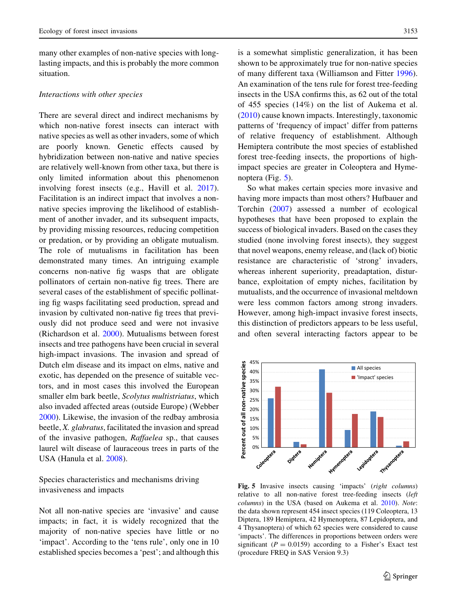many other examples of non-native species with longlasting impacts, and this is probably the more common situation.

## Interactions with other species

There are several direct and indirect mechanisms by which non-native forest insects can interact with native species as well as other invaders, some of which are poorly known. Genetic effects caused by hybridization between non-native and native species are relatively well-known from other taxa, but there is only limited information about this phenomenon involving forest insects (e.g., Havill et al. [2017](#page-16-0)). Facilitation is an indirect impact that involves a nonnative species improving the likelihood of establishment of another invader, and its subsequent impacts, by providing missing resources, reducing competition or predation, or by providing an obligate mutualism. The role of mutualisms in facilitation has been demonstrated many times. An intriguing example concerns non-native fig wasps that are obligate pollinators of certain non-native fig trees. There are several cases of the establishment of specific pollinating fig wasps facilitating seed production, spread and invasion by cultivated non-native fig trees that previously did not produce seed and were not invasive (Richardson et al. [2000\)](#page-18-0). Mutualisms between forest insects and tree pathogens have been crucial in several high-impact invasions. The invasion and spread of Dutch elm disease and its impact on elms, native and exotic, has depended on the presence of suitable vectors, and in most cases this involved the European smaller elm bark beetle, Scolytus multistriatus, which also invaded affected areas (outside Europe) (Webber [2000\)](#page-18-0). Likewise, the invasion of the redbay ambrosia beetle, X. glabratus, facilitated the invasion and spread of the invasive pathogen, Raffaelea sp., that causes laurel wilt disease of lauraceous trees in parts of the USA (Hanula et al. [2008](#page-16-0)).

Species characteristics and mechanisms driving invasiveness and impacts

Not all non-native species are 'invasive' and cause impacts; in fact, it is widely recognized that the majority of non-native species have little or no 'impact'. According to the 'tens rule', only one in 10 established species becomes a 'pest'; and although this

is a somewhat simplistic generalization, it has been shown to be approximately true for non-native species of many different taxa (Williamson and Fitter [1996](#page-18-0)). An examination of the tens rule for forest tree-feeding insects in the USA confirms this, as 62 out of the total of 455 species (14%) on the list of Aukema et al. [\(2010](#page-15-0)) cause known impacts. Interestingly, taxonomic patterns of 'frequency of impact' differ from patterns of relative frequency of establishment. Although Hemiptera contribute the most species of established forest tree-feeding insects, the proportions of highimpact species are greater in Coleoptera and Hymenoptera (Fig. 5).

So what makes certain species more invasive and having more impacts than most others? Hufbauer and Torchin [\(2007](#page-16-0)) assessed a number of ecological hypotheses that have been proposed to explain the success of biological invaders. Based on the cases they studied (none involving forest insects), they suggest that novel weapons, enemy release, and (lack of) biotic resistance are characteristic of 'strong' invaders, whereas inherent superiority, preadaptation, disturbance, exploitation of empty niches, facilitation by mutualists, and the occurrence of invasional meltdown were less common factors among strong invaders. However, among high-impact invasive forest insects, this distinction of predictors appears to be less useful, and often several interacting factors appear to be



Fig. 5 Invasive insects causing 'impacts' (right columns) relative to all non-native forest tree-feeding insects (left columns) in the USA (based on Aukema et al. [2010](#page-15-0)). Note: the data shown represent 454 insect species (119 Coleoptera, 13 Diptera, 189 Hemiptera, 42 Hymenoptera, 87 Lepidoptera, and 4 Thysanoptera) of which 62 species were considered to cause 'impacts'. The differences in proportions between orders were significant ( $P = 0.0159$ ) according to a Fisher's Exact test (procedure FREQ in SAS Version 9.3)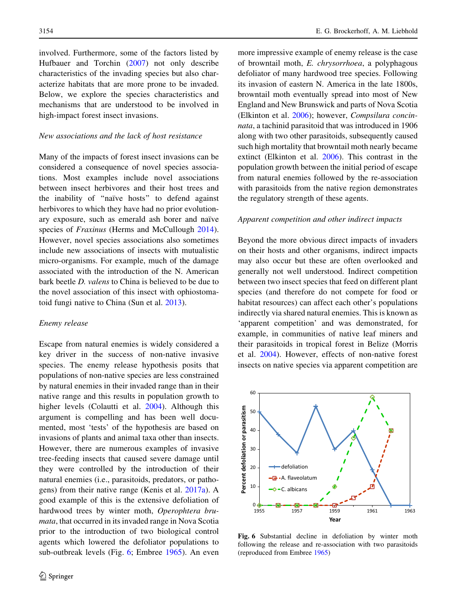involved. Furthermore, some of the factors listed by Hufbauer and Torchin [\(2007](#page-16-0)) not only describe characteristics of the invading species but also characterize habitats that are more prone to be invaded. Below, we explore the species characteristics and mechanisms that are understood to be involved in high-impact forest insect invasions.

## New associations and the lack of host resistance

Many of the impacts of forest insect invasions can be considered a consequence of novel species associations. Most examples include novel associations between insect herbivores and their host trees and the inability of "naïve hosts" to defend against herbivores to which they have had no prior evolutionary exposure, such as emerald ash borer and naïve species of *Fraxinus* (Herms and McCullough [2014](#page-16-0)). However, novel species associations also sometimes include new associations of insects with mutualistic micro-organisms. For example, much of the damage associated with the introduction of the N. American bark beetle D. valens to China is believed to be due to the novel association of this insect with ophiostomatoid fungi native to China (Sun et al. [2013\)](#page-18-0).

## Enemy release

Escape from natural enemies is widely considered a key driver in the success of non-native invasive species. The enemy release hypothesis posits that populations of non-native species are less constrained by natural enemies in their invaded range than in their native range and this results in population growth to higher levels (Colautti et al. [2004\)](#page-15-0). Although this argument is compelling and has been well documented, most 'tests' of the hypothesis are based on invasions of plants and animal taxa other than insects. However, there are numerous examples of invasive tree-feeding insects that caused severe damage until they were controlled by the introduction of their natural enemies (i.e., parasitoids, predators, or pathogens) from their native range (Kenis et al. [2017a](#page-16-0)). A good example of this is the extensive defoliation of hardwood trees by winter moth, Operophtera brumata, that occurred in its invaded range in Nova Scotia prior to the introduction of two biological control agents which lowered the defoliator populations to sub-outbreak levels (Fig. 6; Embree [1965](#page-15-0)). An even more impressive example of enemy release is the case of browntail moth, E. chrysorrhoea, a polyphagous defoliator of many hardwood tree species. Following its invasion of eastern N. America in the late 1800s, browntail moth eventually spread into most of New England and New Brunswick and parts of Nova Scotia (Elkinton et al. [2006\)](#page-15-0); however, Compsilura concinnata, a tachinid parasitoid that was introduced in 1906 along with two other parasitoids, subsequently caused such high mortality that browntail moth nearly became extinct (Elkinton et al. [2006](#page-15-0)). This contrast in the population growth between the initial period of escape from natural enemies followed by the re-association with parasitoids from the native region demonstrates the regulatory strength of these agents.

## Apparent competition and other indirect impacts

Beyond the more obvious direct impacts of invaders on their hosts and other organisms, indirect impacts may also occur but these are often overlooked and generally not well understood. Indirect competition between two insect species that feed on different plant species (and therefore do not compete for food or habitat resources) can affect each other's populations indirectly via shared natural enemies. This is known as 'apparent competition' and was demonstrated, for example, in communities of native leaf miners and their parasitoids in tropical forest in Belize (Morris et al. [2004](#page-17-0)). However, effects of non-native forest insects on native species via apparent competition are



Fig. 6 Substantial decline in defoliation by winter moth following the release and re-association with two parasitoids (reproduced from Embree [1965\)](#page-15-0)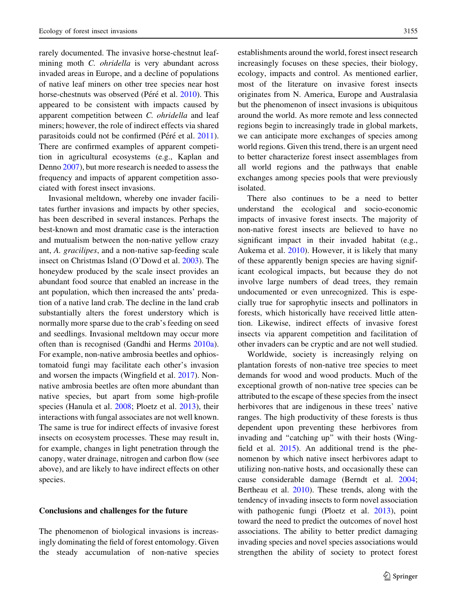rarely documented. The invasive horse-chestnut leafmining moth *C. ohridella* is very abundant across invaded areas in Europe, and a decline of populations of native leaf miners on other tree species near host horse-chestnuts was observed (Péré et al. [2010\)](#page-17-0). This appeared to be consistent with impacts caused by apparent competition between C. ohridella and leaf miners; however, the role of indirect effects via shared parasitoids could not be confirmed (Péré et al. [2011](#page-17-0)). There are confirmed examples of apparent competition in agricultural ecosystems (e.g., Kaplan and Denno [2007](#page-16-0)), but more research is needed to assess the frequency and impacts of apparent competition associated with forest insect invasions.

Invasional meltdown, whereby one invader facilitates further invasions and impacts by other species, has been described in several instances. Perhaps the best-known and most dramatic case is the interaction and mutualism between the non-native yellow crazy ant, A. gracilipes, and a non-native sap-feeding scale insect on Christmas Island (O'Dowd et al. [2003](#page-17-0)). The honeydew produced by the scale insect provides an abundant food source that enabled an increase in the ant population, which then increased the ants' predation of a native land crab. The decline in the land crab substantially alters the forest understory which is normally more sparse due to the crab's feeding on seed and seedlings. Invasional meltdown may occur more often than is recognised (Gandhi and Herms [2010a](#page-15-0)). For example, non-native ambrosia beetles and ophiostomatoid fungi may facilitate each other's invasion and worsen the impacts (Wingfield et al. [2017](#page-18-0)). Nonnative ambrosia beetles are often more abundant than native species, but apart from some high-profile species (Hanula et al. [2008](#page-16-0); Ploetz et al. [2013\)](#page-17-0), their interactions with fungal associates are not well known. The same is true for indirect effects of invasive forest insects on ecosystem processes. These may result in, for example, changes in light penetration through the canopy, water drainage, nitrogen and carbon flow (see above), and are likely to have indirect effects on other species.

The phenomenon of biological invasions is increasingly dominating the field of forest entomology. Given the steady accumulation of non-native species establishments around the world, forest insect research increasingly focuses on these species, their biology, ecology, impacts and control. As mentioned earlier, most of the literature on invasive forest insects originates from N. America, Europe and Australasia but the phenomenon of insect invasions is ubiquitous around the world. As more remote and less connected regions begin to increasingly trade in global markets, we can anticipate more exchanges of species among world regions. Given this trend, there is an urgent need to better characterize forest insect assemblages from all world regions and the pathways that enable exchanges among species pools that were previously isolated.

There also continues to be a need to better understand the ecological and socio-economic impacts of invasive forest insects. The majority of non-native forest insects are believed to have no significant impact in their invaded habitat (e.g., Aukema et al. [2010\)](#page-15-0). However, it is likely that many of these apparently benign species are having significant ecological impacts, but because they do not involve large numbers of dead trees, they remain undocumented or even unrecognized. This is especially true for saprophytic insects and pollinators in forests, which historically have received little attention. Likewise, indirect effects of invasive forest insects via apparent competition and facilitation of other invaders can be cryptic and are not well studied.

Worldwide, society is increasingly relying on plantation forests of non-native tree species to meet demands for wood and wood products. Much of the exceptional growth of non-native tree species can be attributed to the escape of these species from the insect herbivores that are indigenous in these trees' native ranges. The high productivity of these forests is thus dependent upon preventing these herbivores from invading and "catching up" with their hosts (Wingfield et al. [2015\)](#page-18-0). An additional trend is the phenomenon by which native insect herbivores adapt to utilizing non-native hosts, and occasionally these can cause considerable damage (Berndt et al. [2004](#page-15-0); Bertheau et al. [2010\)](#page-15-0). These trends, along with the tendency of invading insects to form novel association with pathogenic fungi (Ploetz et al. [2013](#page-17-0)), point toward the need to predict the outcomes of novel host associations. The ability to better predict damaging invading species and novel species associations would strengthen the ability of society to protect forest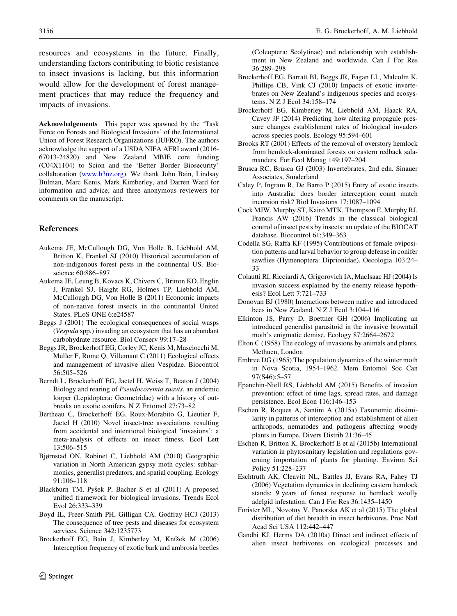Acknowledgements This paper was spawned by the 'Task Force on Forests and Biological Invasions' of the International Union of Forest Research Organizations (IUFRO). The authors acknowledge the support of a USDA NIFA AFRI award (2016- 67013-24820) and New Zealand MBIE core funding (C04X1104) to Scion and the 'Better Border Biosecurity' collaboration ([www.b3nz.org](http://www.b3nz.org)). We thank John Bain, Lindsay Bulman, Marc Kenis, Mark Kimberley, and Darren Ward for information and advice, and three anonymous reviewers for comments on the manuscript.

# References

- Aukema JE, McCullough DG, Von Holle B, Liebhold AM, Britton K, Frankel SJ (2010) Historical accumulation of non-indigenous forest pests in the continental US. Bioscience 60:886–897
- Aukema JE, Leung B, Kovacs K, Chivers C, Britton KO, Englin J, Frankel SJ, Haight RG, Holmes TP, Liebhold AM, McCullough DG, Von Holle B (2011) Economic impacts of non-native forest insects in the continental United States. PLoS ONE 6:e24587
- Beggs J (2001) The ecological consequences of social wasps (Vespula spp.) invading an ecosystem that has an abundant carbohydrate resource. Biol Conserv 99:17–28
- Beggs JR, Brockerhoff EG, Corley JC, Kenis M, Masciocchi M, Muller F, Rome Q, Villemant C (2011) Ecological effects and management of invasive alien Vespidae. Biocontrol 56:505–526
- Berndt L, Brockerhoff EG, Jactel H, Weiss T, Beaton J (2004) Biology and rearing of Pseudocoremia suavis, an endemic looper (Lepidoptera: Geometridae) with a history of outbreaks on exotic conifers. N Z Entomol 27:73–82
- Bertheau C, Brockerhoff EG, Roux-Morabito G, Lieutier F, Jactel H (2010) Novel insect-tree associations resulting from accidental and intentional biological 'invasions': a meta-analysis of effects on insect fitness. Ecol Lett 13:506–515
- Bjørnstad ON, Robinet C, Liebhold AM (2010) Geographic variation in North American gypsy moth cycles: subharmonics, generalist predators, and spatial coupling. Ecology 91:106–118
- Blackburn TM, Pyšek P, Bacher S et al (2011) A proposed unified framework for biological invasions. Trends Ecol Evol 26:333–339
- Boyd IL, Freer-Smith PH, Gilligan CA, Godfray HCJ (2013) The consequence of tree pests and diseases for ecosystem services. Science 342:1235773
- Brockerhoff EG, Bain J, Kimberley M, Knížek M (2006) Interception frequency of exotic bark and ambrosia beetles

<span id="page-15-0"></span>3156 E. G. Brockerhoff, A. M. Liebhold

(Coleoptera: Scolytinae) and relationship with establishment in New Zealand and worldwide. Can J For Res 36:289–298

- Brockerhoff EG, Barratt BI, Beggs JR, Fagan LL, Malcolm K, Phillips CB, Vink CJ (2010) Impacts of exotic invertebrates on New Zealand's indigenous species and ecosystems. N Z J Ecol 34:158–174
- Brockerhoff EG, Kimberley M, Liebhold AM, Haack RA, Cavey JF (2014) Predicting how altering propagule pressure changes establishment rates of biological invaders across species pools. Ecology 95:594–601
- Brooks RT (2001) Effects of the removal of overstory hemlock from hemlock-dominated forests on eastern redback salamanders. For Ecol Manag 149:197–204
- Brusca RC, Brusca GJ (2003) Invertebrates, 2nd edn. Sinauer Associates, Sunderland
- Caley P, Ingram R, De Barro P (2015) Entry of exotic insects into Australia: does border interception count match incursion risk? Biol Invasions 17:1087–1094
- Cock MJW, Murphy ST, Kairo MTK, Thompson E, Murphy RJ, Francis AW (2016) Trends in the classical biological control of insect pests by insects: an update of the BIOCAT database. Biocontrol 61:349–363
- Codella SG, Raffa KF (1995) Contributions of female oviposition patterns and larval behavior to group defense in conifer sawflies (Hymenoptera: Diprionidae). Oecologia 103:24– 33
- Colautti RI, Ricciardi A, Grigorovich IA, MacIsaac HJ (2004) Is invasion success explained by the enemy release hypothesis? Ecol Lett 7:721–733
- Donovan BJ (1980) Interactions between native and introduced bees in New Zealand. N Z J Ecol 3:104–116
- Elkinton JS, Parry D, Boettner GH (2006) Implicating an introduced generalist parasitoid in the invasive browntail moth's enigmatic demise. Ecology 87:2664–2672
- Elton C (1958) The ecology of invasions by animals and plants. Methuen, London
- Embree DG (1965) The population dynamics of the winter moth in Nova Scotia, 1954–1962. Mem Entomol Soc Can 97(S46):5–57
- Epanchin-Niell RS, Liebhold AM (2015) Benefits of invasion prevention: effect of time lags, spread rates, and damage persistence. Ecol Econ 116:146–153
- Eschen R, Roques A, Santini A (2015a) Taxonomic dissimilarity in patterns of interception and establishment of alien arthropods, nematodes and pathogens affecting woody plants in Europe. Divers Distrib 21:36–45
- Eschen R, Britton K, Brockerhoff E et al (2015b) International variation in phytosanitary legislation and regulations governing importation of plants for planting. Environ Sci Policy 51:228–237
- Eschtruth AK, Cleavitt NL, Battles JJ, Evans RA, Fahey TJ (2006) Vegetation dynamics in declining eastern hemlock stands: 9 years of forest response to hemlock woolly adelgid infestation. Can J For Res 36:1435–1450
- Forister ML, Novotny V, Panorska AK et al (2015) The global distribution of diet breadth in insect herbivores. Proc Natl Acad Sci USA 112:442–447
- Gandhi KJ, Herms DA (2010a) Direct and indirect effects of alien insect herbivores on ecological processes and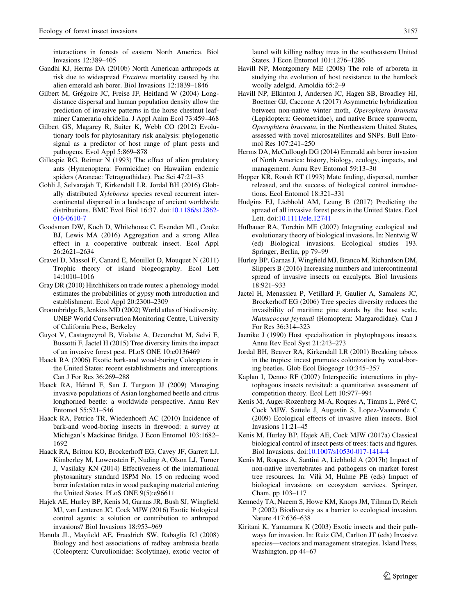<span id="page-16-0"></span>interactions in forests of eastern North America. Biol Invasions 12:389–405

- Gandhi KJ, Herms DA (2010b) North American arthropods at risk due to widespread Fraxinus mortality caused by the alien emerald ash borer. Biol Invasions 12:1839–1846
- Gilbert M, Grégoire JC, Freise JF, Heitland W (2004) Longdistance dispersal and human population density allow the prediction of invasive patterns in the horse chestnut leafminer Cameraria ohridella. J Appl Anim Ecol 73:459–468
- Gilbert GS, Magarey R, Suiter K, Webb CO (2012) Evolutionary tools for phytosanitary risk analysis: phylogenetic signal as a predictor of host range of plant pests and pathogens. Evol Appl 5:869–878
- Gillespie RG, Reimer N (1993) The effect of alien predatory ants (Hymenoptera: Formicidae) on Hawaiian endemic spiders (Araneae: Tetragnathidae). Pac Sci 47:21–33
- Gohli J, Selvarajah T, Kirkendall LR, Jordal BH (2016) Globally distributed Xyleborus species reveal recurrent intercontinental dispersal in a landscape of ancient worldwide distributions. BMC Evol Biol 16:37. doi[:10.1186/s12862-](http://dx.doi.org/10.1186/s12862-016-0610-7) [016-0610-7](http://dx.doi.org/10.1186/s12862-016-0610-7)
- Goodsman DW, Koch D, Whitehouse C, Evenden ML, Cooke BJ, Lewis MA (2016) Aggregation and a strong Allee effect in a cooperative outbreak insect. Ecol Appl 26:2621–2634
- Gravel D, Massol F, Canard E, Mouillot D, Mouquet N (2011) Trophic theory of island biogeography. Ecol Lett 14:1010–1016
- Gray DR (2010) Hitchhikers on trade routes: a phenology model estimates the probabilities of gypsy moth introduction and establishment. Ecol Appl 20:2300–2309
- Groombridge B, Jenkins MD (2002) World atlas of biodiversity. UNEP World Conservation Monitoring Centre, University of California Press, Berkeley
- Guyot V, Castagneyrol B, Vialatte A, Deconchat M, Selvi F, Bussotti F, Jactel H (2015) Tree diversity limits the impact of an invasive forest pest. PLoS ONE 10:e0136469
- Haack RA (2006) Exotic bark-and wood-boring Coleoptera in the United States: recent establishments and interceptions. Can J For Res 36:269–288
- Haack RA, Hérard F, Sun J, Turgeon JJ (2009) Managing invasive populations of Asian longhorned beetle and citrus longhorned beetle: a worldwide perspective. Annu Rev Entomol 55:521–546
- Haack RA, Petrice TR, Wiedenhoeft AC (2010) Incidence of bark-and wood-boring insects in firewood: a survey at Michigan's Mackinac Bridge. J Econ Entomol 103:1682– 1692
- Haack RA, Britton KO, Brockerhoff EG, Cavey JF, Garrett LJ, Kimberley M, Lowenstein F, Nuding A, Olson LJ, Turner J, Vasilaky KN (2014) Effectiveness of the international phytosanitary standard ISPM No. 15 on reducing wood borer infestation rates in wood packaging material entering the United States. PLoS ONE 9(5):e96611
- Hajek AE, Hurley BP, Kenis M, Garnas JR, Bush SJ, Wingfield MJ, van Lenteren JC, Cock MJW (2016) Exotic biological control agents: a solution or contribution to arthropod invasions? Biol Invasions 18:953–969
- Hanula JL, Mayfield AE, Fraedrich SW, Rabaglia RJ (2008) Biology and host associations of redbay ambrosia beetle (Coleoptera: Curculionidae: Scolytinae), exotic vector of

laurel wilt killing redbay trees in the southeastern United States. J Econ Entomol 101:1276–1286

- Havill NP, Montgomery ME (2008) The role of arboreta in studying the evolution of host resistance to the hemlock woolly adelgid. Arnoldia 65:2–9
- Havill NP, Elkinton J, Andersen JC, Hagen SB, Broadley HJ, Boettner GJ, Caccone A (2017) Asymmetric hybridization between non-native winter moth, Operophtera brumata (Lepidoptera: Geometridae), and native Bruce spanworm, Operophtera bruceata, in the Northeastern United States, assessed with novel microsatellites and SNPs. Bull Entomol Res 107:241–250
- Herms DA, McCullough DG (2014) Emerald ash borer invasion of North America: history, biology, ecology, impacts, and management. Annu Rev Entomol 59:13–30
- Hopper KR, Roush RT (1993) Mate finding, dispersal, number released, and the success of biological control introductions. Ecol Entomol 18:321–331
- Hudgins EJ, Liebhold AM, Leung B (2017) Predicting the spread of all invasive forest pests in the United States. Ecol Lett. doi[:10.1111/ele.12741](http://dx.doi.org/10.1111/ele.12741)
- Hufbauer RA, Torchin ME (2007) Integrating ecological and evolutionary theory of biological invasions. In: Nentwig W (ed) Biological invasions. Ecological studies 193. Springer, Berlin, pp 79–99
- Hurley BP, Garnas J, Wingfield MJ, Branco M, Richardson DM, Slippers B (2016) Increasing numbers and intercontinental spread of invasive insects on eucalypts. Biol Invasions 18:921–933
- Jactel H, Menassieu P, Vetillard F, Gaulier A, Samalens JC, Brockerhoff EG (2006) Tree species diversity reduces the invasibility of maritime pine stands by the bast scale, Matsucoccus feytaudi (Homoptera: Margarodidae). Can J For Res 36:314–323
- Jaenike J (1990) Host specialization in phytophagous insects. Annu Rev Ecol Syst 21:243–273
- Jordal BH, Beaver RA, Kirkendall LR (2001) Breaking taboos in the tropics: incest promotes colonization by wood-boring beetles. Glob Ecol Biogeogr 10:345–357
- Kaplan I, Denno RF (2007) Interspecific interactions in phytophagous insects revisited: a quantitative assessment of competition theory. Ecol Lett 10:977–994
- Kenis M, Auger-Rozenberg M-A, Roques A, Timms L, Péré C, Cock MJW, Settele J, Augustin S, Lopez-Vaamonde C (2009) Ecological effects of invasive alien insects. Biol Invasions 11:21–45
- Kenis M, Hurley BP, Hajek AE, Cock MJW (2017a) Classical biological control of insect pests of trees: facts and figures. Biol Invasions. doi[:10.1007/s10530-017-1414-4](http://dx.doi.org/10.1007/s10530-017-1414-4)
- Kenis M, Roques A, Santini A, Liebhold A (2017b) Impact of non-native invertebrates and pathogens on market forest tree resources. In: Vila` M, Hulme PE (eds) Impact of biological invasions on ecosystem services. Springer, Cham, pp 103–117
- Kennedy TA, Naeem S, Howe KM, Knops JM, Tilman D, Reich P (2002) Biodiversity as a barrier to ecological invasion. Nature 417:636–638
- Kiritani K, Yamamura K (2003) Exotic insects and their pathways for invasion. In: Ruiz GM, Carlton JT (eds) Invasive species—vectors and management strategies. Island Press, Washington, pp 44–67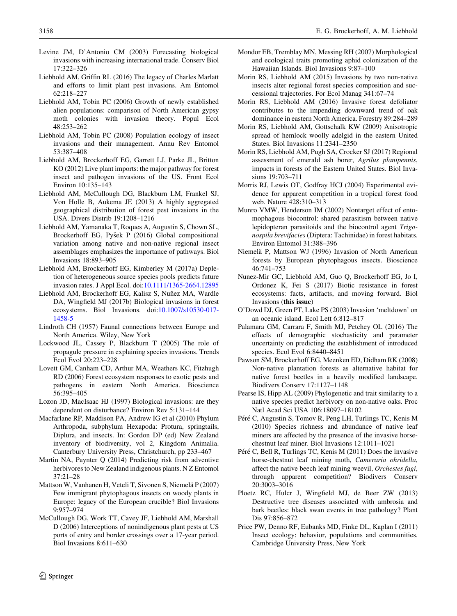- <span id="page-17-0"></span>Levine JM, D'Antonio CM (2003) Forecasting biological invasions with increasing international trade. Conserv Biol 17:322–326
- Liebhold AM, Griffin RL (2016) The legacy of Charles Marlatt and efforts to limit plant pest invasions. Am Entomol 62:218–227
- Liebhold AM, Tobin PC (2006) Growth of newly established alien populations: comparison of North American gypsy moth colonies with invasion theory. Popul Ecol 48:253–262
- Liebhold AM, Tobin PC (2008) Population ecology of insect invasions and their management. Annu Rev Entomol 53:387–408
- Liebhold AM, Brockerhoff EG, Garrett LJ, Parke JL, Britton KO (2012) Live plant imports: the major pathway for forest insect and pathogen invasions of the US. Front Ecol Environ 10:135–143
- Liebhold AM, McCullough DG, Blackburn LM, Frankel SJ, Von Holle B, Aukema JE (2013) A highly aggregated geographical distribution of forest pest invasions in the USA. Divers Distrib 19:1208–1216
- Liebhold AM, Yamanaka T, Roques A, Augustin S, Chown SL, Brockerhoff EG, Pyšek P (2016) Global compositional variation among native and non-native regional insect assemblages emphasizes the importance of pathways. Biol Invasions 18:893–905
- Liebhold AM, Brockerhoff EG, Kimberley M (2017a) Depletion of heterogeneous source species pools predicts future invasion rates. J Appl Ecol. doi[:10.1111/1365-2664.12895](http://dx.doi.org/10.1111/1365-2664.12895)
- Liebhold AM, Brockerhoff EG, Kalisz S, Nuñez MA, Wardle DA, Wingfield MJ (2017b) Biological invasions in forest ecosystems. Biol Invasions. doi:[10.1007/s10530-017-](http://dx.doi.org/10.1007/s10530-017-1458-5) [1458-5](http://dx.doi.org/10.1007/s10530-017-1458-5)
- Lindroth CH (1957) Faunal connections between Europe and North America. Wiley, New York
- Lockwood JL, Cassey P, Blackburn T (2005) The role of propagule pressure in explaining species invasions. Trends Ecol Evol 20:223–228
- Lovett GM, Canham CD, Arthur MA, Weathers KC, Fitzhugh RD (2006) Forest ecosystem responses to exotic pests and pathogens in eastern North America. Bioscience 56:395–405
- Lozon JD, MacIsaac HJ (1997) Biological invasions: are they dependent on disturbance? Environ Rev 5:131–144
- Macfarlane RP, Maddison PA, Andrew IG et al (2010) Phylum Arthropoda, subphylum Hexapoda: Protura, springtails, Diplura, and insects. In: Gordon DP (ed) New Zealand inventory of biodiversity, vol 2, Kingdom Animalia. Canterbury University Press, Christchurch, pp 233–467
- Martin NA, Paynter Q (2014) Predicting risk from adventive herbivores to New Zealand indigenous plants. N Z Entomol 37:21–28
- Mattson W, Vanhanen H, Veteli T, Sivonen S, Niemelä P (2007) Few immigrant phytophagous insects on woody plants in Europe: legacy of the European crucible? Biol Invasions 9:957–974
- McCullough DG, Work TT, Cavey JF, Liebhold AM, Marshall D (2006) Interceptions of nonindigenous plant pests at US ports of entry and border crossings over a 17-year period. Biol Invasions 8:611–630
- Mondor EB, Tremblay MN, Messing RH (2007) Morphological and ecological traits promoting aphid colonization of the Hawaiian Islands. Biol Invasions 9:87–100
- Morin RS, Liebhold AM (2015) Invasions by two non-native insects alter regional forest species composition and successional trajectories. For Ecol Manag 341:67–74
- Morin RS, Liebhold AM (2016) Invasive forest defoliator contributes to the impending downward trend of oak dominance in eastern North America. Forestry 89:284–289
- Morin RS, Liebhold AM, Gottschalk KW (2009) Anisotropic spread of hemlock woolly adelgid in the eastern United States. Biol Invasions 11:2341–2350
- Morin RS, Liebhold AM, Pugh SA, Crocker SJ (2017) Regional assessment of emerald ash borer, Agrilus planipennis, impacts in forests of the Eastern United States. Biol Invasions 19:703–711
- Morris RJ, Lewis OT, Godfray HCJ (2004) Experimental evidence for apparent competition in a tropical forest food web. Nature 428:310–313
- Munro VMW, Henderson IM (2002) Nontarget effect of entomophagous biocontrol: shared parasitism between native lepidopteran parasitoids and the biocontrol agent Trigonospila brevifacies (Diptera: Tachinidae) in forest habitats. Environ Entomol 31:388–396
- Niemelä P, Mattson WJ (1996) Invasion of North American forests by European phytophagous insects. Bioscience 46:741–753
- Nunez-Mir GC, Liebhold AM, Guo Q, Brockerhoff EG, Jo I, Ordonez K, Fei S (2017) Biotic resistance in forest ecosystems: facts, artifacts, and moving forward. Biol Invasions (this issue)
- O'Dowd DJ, Green PT, Lake PS (2003) Invasion 'meltdown' on an oceanic island. Ecol Lett 6:812–817
- Palamara GM, Carrara F, Smith MJ, Petchey OL (2016) The effects of demographic stochasticity and parameter uncertainty on predicting the establishment of introduced species. Ecol Evol 6:8440–8451
- Pawson SM, Brockerhoff EG, Meenken ED, Didham RK (2008) Non-native plantation forests as alternative habitat for native forest beetles in a heavily modified landscape. Biodivers Conserv 17:1127–1148
- Pearse IS, Hipp AL (2009) Phylogenetic and trait similarity to a native species predict herbivory on non-native oaks. Proc Natl Acad Sci USA 106:18097–18102
- Péré C, Augustin S, Tomov R, Peng LH, Turlings TC, Kenis M (2010) Species richness and abundance of native leaf miners are affected by the presence of the invasive horsechestnut leaf miner. Biol Invasions 12:1011–1021
- Péré C, Bell R, Turlings TC, Kenis M (2011) Does the invasive horse-chestnut leaf mining moth, Cameraria ohridella, affect the native beech leaf mining weevil, Orchestes fagi, through apparent competition? Biodivers Conserv 20:3003–3016
- Ploetz RC, Hulcr J, Wingfield MJ, de Beer ZW (2013) Destructive tree diseases associated with ambrosia and bark beetles: black swan events in tree pathology? Plant Dis 97:856–872
- Price PW, Denno RF, Eubanks MD, Finke DL, Kaplan I (2011) Insect ecology: behavior, populations and communities. Cambridge University Press, New York